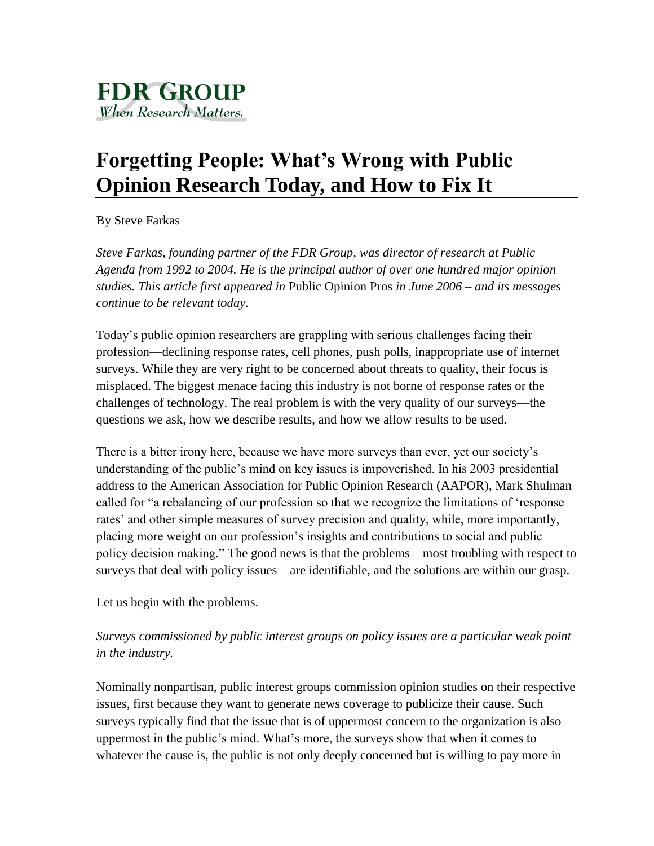# **Forgetting People: What's Wrong with Public Opinion Research Today, and How to Fix It**

By Steve Farkas

*Steve Farkas, founding partner of the FDR Group, was director of research at Public Agenda from 1992 to 2004. He is the principal author of over one hundred major opinion studies. This article first appeared in* Public Opinion Pros *in June 2006 – and its messages continue to be relevant today.* 

Today's public opinion researchers are grappling with serious challenges facing their profession—declining response rates, cell phones, push polls, inappropriate use of internet surveys. While they are very right to be concerned about threats to quality, their focus is misplaced. The biggest menace facing this industry is not borne of response rates or the challenges of technology. The real problem is with the very quality of our surveys—the questions we ask, how we describe results, and how we allow results to be used.

There is a bitter irony here, because we have more surveys than ever, yet our society's understanding of the public's mind on key issues is impoverished. In his 2003 presidential address to the American Association for Public Opinion Research (AAPOR), Mark Shulman called for "a rebalancing of our profession so that we recognize the limitations of 'response rates' and other simple measures of survey precision and quality, while, more importantly, placing more weight on our profession's insights and contributions to social and public policy decision making." The good news is that the problems—most troubling with respect to surveys that deal with policy issues—are identifiable, and the solutions are within our grasp.

Let us begin with the problems.

*Surveys commissioned by public interest groups on policy issues are a particular weak point in the industry.*

Nominally nonpartisan, public interest groups commission opinion studies on their respective issues, first because they want to generate news coverage to publicize their cause. Such surveys typically find that the issue that is of uppermost concern to the organization is also uppermost in the public's mind. What's more, the surveys show that when it comes to whatever the cause is, the public is not only deeply concerned but is willing to pay more in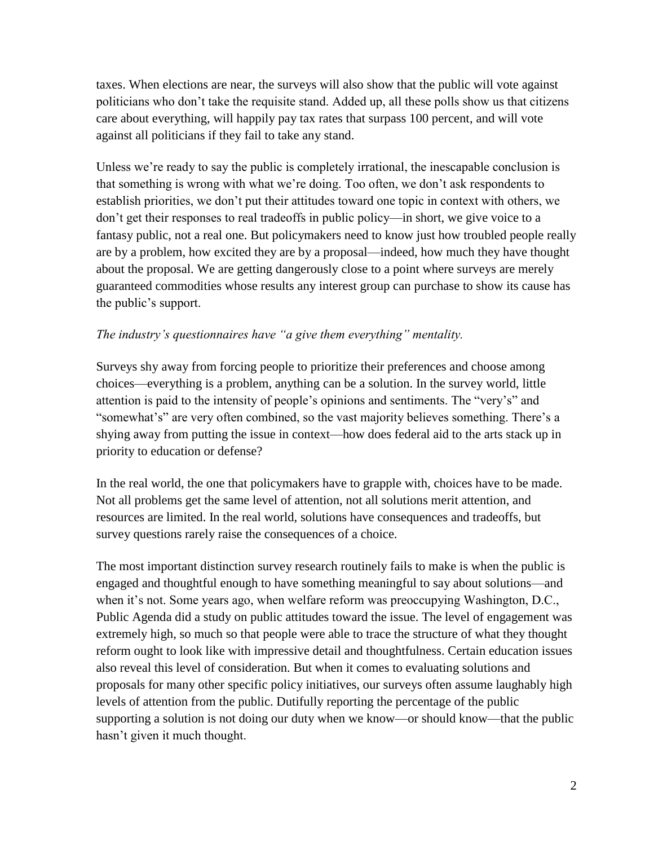taxes. When elections are near, the surveys will also show that the public will vote against politicians who don't take the requisite stand. Added up, all these polls show us that citizens care about everything, will happily pay tax rates that surpass 100 percent, and will vote against all politicians if they fail to take any stand.

Unless we're ready to say the public is completely irrational, the inescapable conclusion is that something is wrong with what we're doing. Too often, we don't ask respondents to establish priorities, we don't put their attitudes toward one topic in context with others, we don't get their responses to real tradeoffs in public policy—in short, we give voice to a fantasy public, not a real one. But policymakers need to know just how troubled people really are by a problem, how excited they are by a proposal—indeed, how much they have thought about the proposal. We are getting dangerously close to a point where surveys are merely guaranteed commodities whose results any interest group can purchase to show its cause has the public's support.

### *The industry's questionnaires have "a give them everything" mentality.*

Surveys shy away from forcing people to prioritize their preferences and choose among choices—everything is a problem, anything can be a solution. In the survey world, little attention is paid to the intensity of people's opinions and sentiments. The "very's" and "somewhat's" are very often combined, so the vast majority believes something. There's a shying away from putting the issue in context—how does federal aid to the arts stack up in priority to education or defense?

In the real world, the one that policymakers have to grapple with, choices have to be made. Not all problems get the same level of attention, not all solutions merit attention, and resources are limited. In the real world, solutions have consequences and tradeoffs, but survey questions rarely raise the consequences of a choice.

The most important distinction survey research routinely fails to make is when the public is engaged and thoughtful enough to have something meaningful to say about solutions—and when it's not. Some years ago, when welfare reform was preoccupying Washington, D.C., Public Agenda did a study on public attitudes toward the issue. The level of engagement was extremely high, so much so that people were able to trace the structure of what they thought reform ought to look like with impressive detail and thoughtfulness. Certain education issues also reveal this level of consideration. But when it comes to evaluating solutions and proposals for many other specific policy initiatives, our surveys often assume laughably high levels of attention from the public. Dutifully reporting the percentage of the public supporting a solution is not doing our duty when we know—or should know—that the public hasn't given it much thought.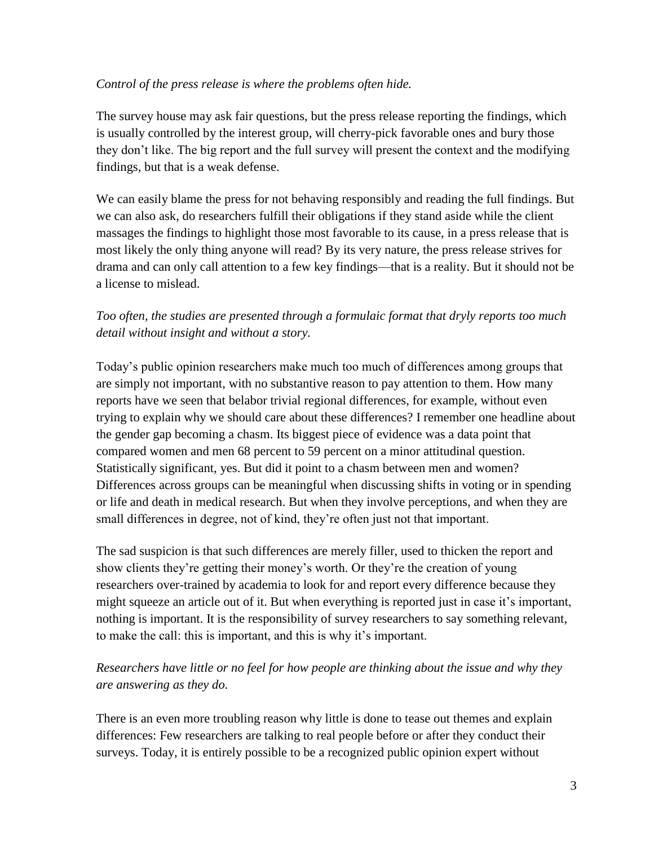#### *Control of the press release is where the problems often hide.*

The survey house may ask fair questions, but the press release reporting the findings, which is usually controlled by the interest group, will cherry-pick favorable ones and bury those they don't like. The big report and the full survey will present the context and the modifying findings, but that is a weak defense.

We can easily blame the press for not behaving responsibly and reading the full findings. But we can also ask, do researchers fulfill their obligations if they stand aside while the client massages the findings to highlight those most favorable to its cause, in a press release that is most likely the only thing anyone will read? By its very nature, the press release strives for drama and can only call attention to a few key findings—that is a reality. But it should not be a license to mislead.

# *Too often, the studies are presented through a formulaic format that dryly reports too much detail without insight and without a story.*

Today's public opinion researchers make much too much of differences among groups that are simply not important, with no substantive reason to pay attention to them. How many reports have we seen that belabor trivial regional differences, for example, without even trying to explain why we should care about these differences? I remember one headline about the gender gap becoming a chasm. Its biggest piece of evidence was a data point that compared women and men 68 percent to 59 percent on a minor attitudinal question. Statistically significant, yes. But did it point to a chasm between men and women? Differences across groups can be meaningful when discussing shifts in voting or in spending or life and death in medical research. But when they involve perceptions, and when they are small differences in degree, not of kind, they're often just not that important.

The sad suspicion is that such differences are merely filler, used to thicken the report and show clients they're getting their money's worth. Or they're the creation of young researchers over-trained by academia to look for and report every difference because they might squeeze an article out of it. But when everything is reported just in case it's important, nothing is important. It is the responsibility of survey researchers to say something relevant, to make the call: this is important, and this is why it's important.

# *Researchers have little or no feel for how people are thinking about the issue and why they are answering as they do.*

There is an even more troubling reason why little is done to tease out themes and explain differences: Few researchers are talking to real people before or after they conduct their surveys. Today, it is entirely possible to be a recognized public opinion expert without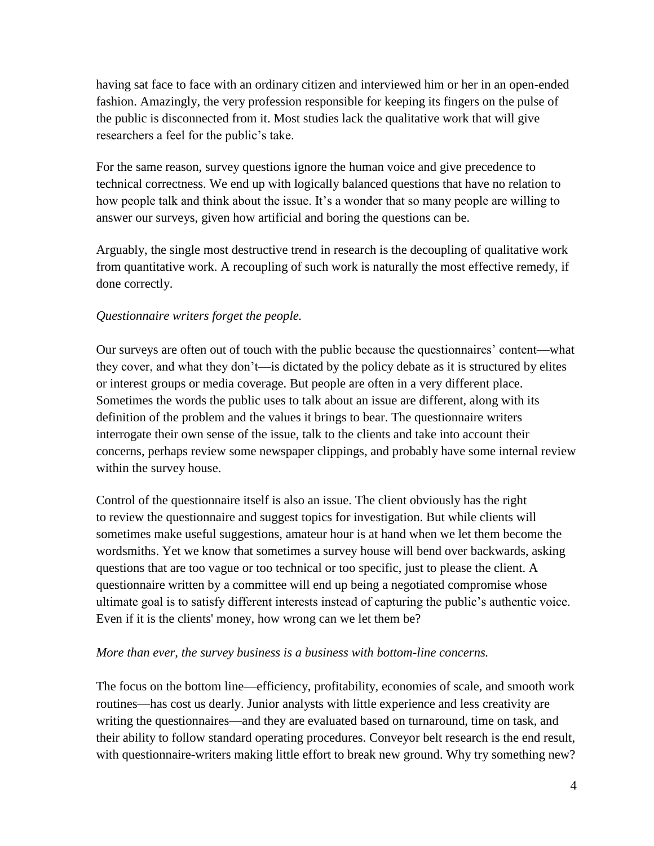having sat face to face with an ordinary citizen and interviewed him or her in an open-ended fashion. Amazingly, the very profession responsible for keeping its fingers on the pulse of the public is disconnected from it. Most studies lack the qualitative work that will give researchers a feel for the public's take.

For the same reason, survey questions ignore the human voice and give precedence to technical correctness. We end up with logically balanced questions that have no relation to how people talk and think about the issue. It's a wonder that so many people are willing to answer our surveys, given how artificial and boring the questions can be.

Arguably, the single most destructive trend in research is the decoupling of qualitative work from quantitative work. A recoupling of such work is naturally the most effective remedy, if done correctly.

## *Questionnaire writers forget the people.*

Our surveys are often out of touch with the public because the questionnaires' content—what they cover, and what they don't—is dictated by the policy debate as it is structured by elites or interest groups or media coverage. But people are often in a very different place. Sometimes the words the public uses to talk about an issue are different, along with its definition of the problem and the values it brings to bear. The questionnaire writers interrogate their own sense of the issue, talk to the clients and take into account their concerns, perhaps review some newspaper clippings, and probably have some internal review within the survey house.

Control of the questionnaire itself is also an issue. The client obviously has the right to review the questionnaire and suggest topics for investigation. But while clients will sometimes make useful suggestions, amateur hour is at hand when we let them become the wordsmiths. Yet we know that sometimes a survey house will bend over backwards, asking questions that are too vague or too technical or too specific, just to please the client. A questionnaire written by a committee will end up being a negotiated compromise whose ultimate goal is to satisfy different interests instead of capturing the public's authentic voice. Even if it is the clients' money, how wrong can we let them be?

### *More than ever, the survey business is a business with bottom-line concerns.*

The focus on the bottom line—efficiency, profitability, economies of scale, and smooth work routines—has cost us dearly. Junior analysts with little experience and less creativity are writing the questionnaires—and they are evaluated based on turnaround, time on task, and their ability to follow standard operating procedures. Conveyor belt research is the end result, with questionnaire-writers making little effort to break new ground. Why try something new?